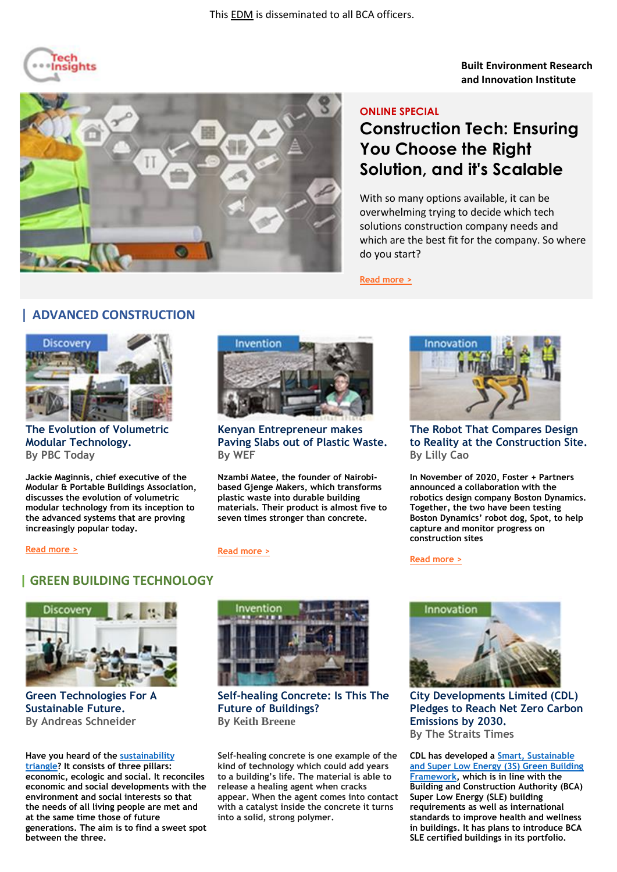

**Built Environment Research and Innovation Institute**



# **ONLINE SPECIAL**

# **Construction Tech: Ensuring You Choose the Right Solution, and it's Scalable**

With so many options available, it can be overwhelming trying to decide which tech solutions construction company needs and which are the best fit for the company. So where do you start?

**[Read more >](https://acciyo.blogspot.com/2021/01/construction-tech-choosing-right.html)**

### **| ADVANCED CONSTRUCTION**



**The Evolution of Volumetric Modular Technology. By PBC Today**

**[Read more >](https://edition.pagesuite-professional.co.uk/html5/reader/production/default.aspx?pubname=&edid=4d495e96-dc55-420d-94ca-eaae8dea0ffa)**

**Jackie Maginnis, chief executive of the Modular & Portable Buildings Association, discusses the evolution of volumetric modular technology from its inception to the advanced systems that are proving increasingly popular today.**



**Kenyan Entrepreneur makes Paving Slabs out of Plastic Waste. By WEF** 

**Nzambi Matee, the founder of Nairobibased Gjenge Makers, which transforms plastic waste into durable building materials. Their product is almost five to seven times stronger than concrete.**

#### **[Read more >](https://www.weforum.org/agenda/2021/02/kenyan-entrepreneur-recycles-plastic-waste-building-blocks?_sc_token=v2%253A_wbzsDLjlTM9ZJCVkYiatQne0tNChvw2sTqJN4LqzhuPaULeuzxmn2DR9J0QENXXBuaCQ03VUURgFtQ1cxl16GXAoSpbgdDiMU0f4NFgyE-ANXIml1HFJ1P_TKi9tGJ0NPbmbvB-qg2spHD1cQsrPo22prG2DqxDp-c3CpKcrI_h2c2H-za420-4JSS_IHec)**



**The Robot That Compares Design to Reality at the Construction Site. By Lilly Cao**

**In November of 2020, Foster + Partners announced a collaboration with the robotics design company Boston Dynamics. Together, the two have been testing Boston Dynamics' robot dog, Spot, to help capture and monitor progress on construction sites**

**[Read more >](https://www.archdaily.com/954784/how-does-spot-r-work-the-robot-that-compares-design-to-reality-at-the-construction-site)**





**Green Technologies For A Sustainable Future. By Andreas Schneider**

**Have you heard of the [sustainability](https://ebrary.net/92696/education/sustainability_triangle)  [triangle?](https://ebrary.net/92696/education/sustainability_triangle) It consists of three pillars: economic, ecologic and social. It reconciles economic and social developments with the environment and social interests so that the needs of all living people are met and at the same time those of future generations. The aim is to find a sweet spot between the three.** 



**Self-healing Concrete: Is This The Future of Buildings? By Keith Breene**

**Self-healing concrete is one example of the kind of technology which could add years to a building's life. The material is able to release a healing agent when cracks appear. When the agent comes into contact with a catalyst inside the concrete it turns into a solid, strong polymer.**



**City Developments Limited (CDL) Pledges to Reach Net Zero Carbon Emissions by 2030. By The Straits Times**

**CDL has developed a [Smart, Sustainable](http://cdlsustainability.com/pdf/CDL_ISR_2020.pdf)  [and Super Low Energy \(3S\) Green Building](http://cdlsustainability.com/pdf/CDL_ISR_2020.pdf)  [Framework,](http://cdlsustainability.com/pdf/CDL_ISR_2020.pdf) which is in line with the Building and Construction Authority (BCA) Super Low Energy (SLE) building requirements as well as international standards to improve health and wellness in buildings. It has plans to introduce BCA SLE certified buildings in its portfolio.** 

# **| GREEN BUILDING TECHNOLOGY**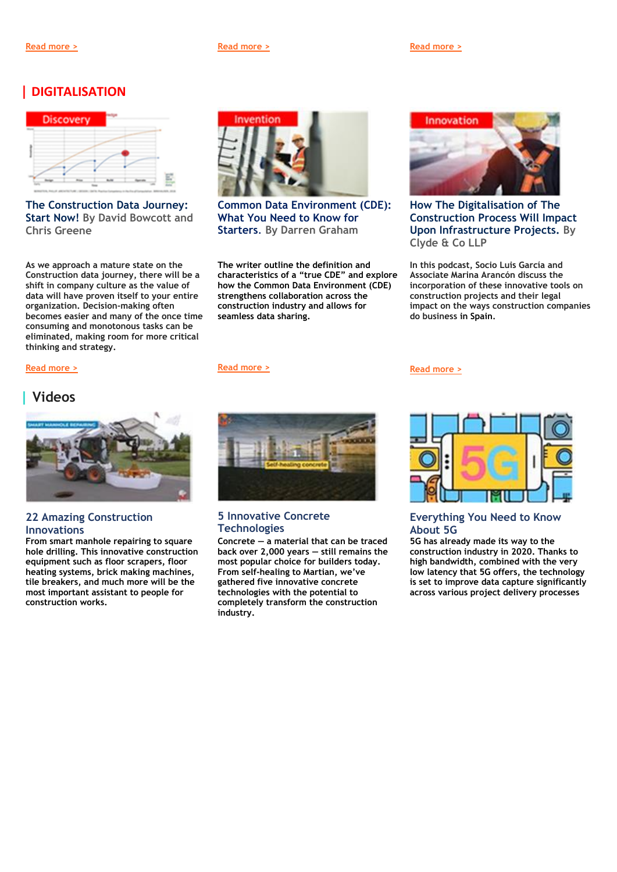**[Read more >](https://www.forbes.com/sites/forbestechcouncil/2021/01/12/green-technologies-for-a-sustainable-future/?sh=2d50c84e6c23) [Read more >](https://futureofconstruction.org/blog/self-healing-concrete-and-sweaty-roofs-is-this-the-future-of-buildings/) [Read more >](https://www.straitstimes.com/business/companies-markets/cdl-pledges-to-reach-net-zero-carbon-emissions-by-2030)**

### **| DIGITALISATION**



**The Construction Data Journey: Start Now! By David Bowcott and Chris Greene**

**As we approach a mature state on the Construction data journey, there will be a shift in company culture as the value of data will have proven itself to your entire organization. Decision-making often becomes easier and many of the once time consuming and monotonous tasks can be eliminated, making room for more critical thinking and strategy.**



**Common Data Environment (CDE): What You Need to Know for Starters**. **By Darren Graham** 

**The writer outline the definition and characteristics of a "true CDE" and explore how the Common Data Environment (CDE) strengthens collaboration across the construction industry and allows for seamless data sharing.** 





**How The Digitalisation of The Construction Process Will Impact Upon Infrastructure Projects. By Clyde & Co LLP**

**In this podcast, Socio Luis García and Associate Marina Arancón discuss the incorporation of these innovative tools on construction projects and their legal impact on the ways construction companies do business in Spain.**

**[Read more >](https://safe.menlosecurity.com/https:/www.clydeco.com/en/insights/2021/01/how-the-digitalisation-of-the-construction-process)**



### **| Videos**



#### **[22 Amazing Construction](https://www.youtube.com/watch?v=TC5cWh-YTKQ)  [Innovations](https://www.youtube.com/watch?v=TC5cWh-YTKQ)**

**From smart manhole repairing to square hole drilling. This innovative construction equipment such as floor scrapers, floor heating systems, brick making machines, tile breakers, and much more will be the most important assistant to people for construction works.**



#### **[5 Innovative Concrete](https://www.youtube.com/watch?v=RDqxHLrlfuo)  [Technologies](https://www.youtube.com/watch?v=RDqxHLrlfuo)**

**Concrete — a material that can be traced back over 2,000 years — still remains the most popular choice for builders today. From self-healing to Martian, we've gathered five innovative concrete technologies with the potential to completely transform the construction industry.**

#### **[Everything You Need to Know](https://www.youtube.com/watch?v=GEx_d0SjvS0)  [About 5G](https://www.youtube.com/watch?v=GEx_d0SjvS0)**

**5G has already made its way to the construction industry in 2020. Thanks to high bandwidth, combined with the very low latency that 5G offers, the technology is set to improve data capture significantly across various project delivery processes**